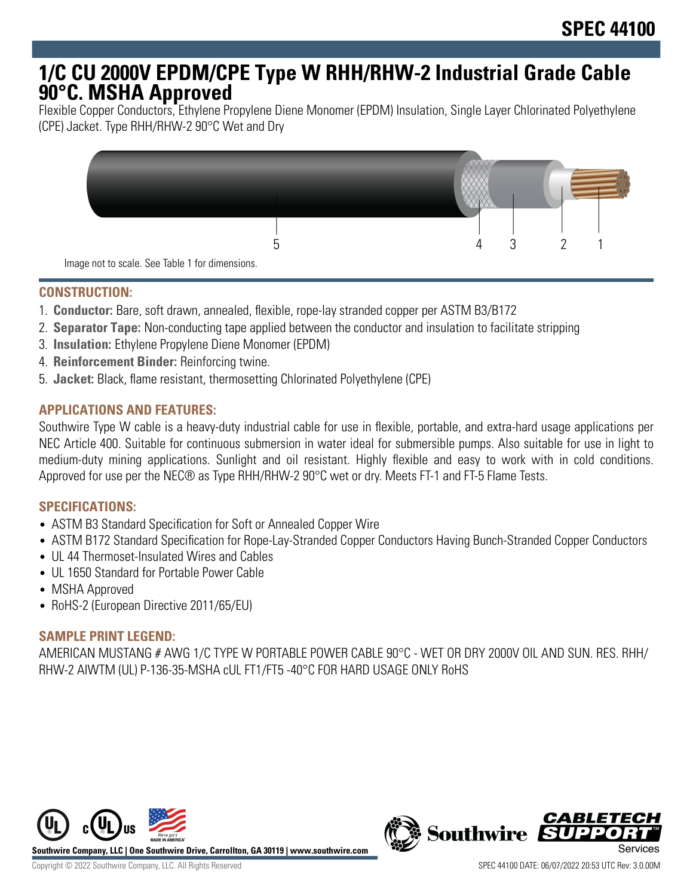# **1/C CU 2000V EPDM/CPE Type W RHH/RHW-2 Industrial Grade Cable 90°C. MSHA Approved**

Flexible Copper Conductors, Ethylene Propylene Diene Monomer (EPDM) Insulation, Single Layer Chlorinated Polyethylene (CPE) Jacket. Type RHH/RHW-2 90°C Wet and Dry



## **CONSTRUCTION:**

- 1. **Conductor:** Bare, soft drawn, annealed, flexible, rope-lay stranded copper per ASTM B3/B172
- 2. **Separator Tape:** Non-conducting tape applied between the conductor and insulation to facilitate stripping
- 3. **Insulation:** Ethylene Propylene Diene Monomer (EPDM)
- 4. **Reinforcement Binder:** Reinforcing twine.
- 5. **Jacket:** Black, flame resistant, thermosetting Chlorinated Polyethylene (CPE)

## **APPLICATIONS AND FEATURES:**

Southwire Type W cable is a heavy-duty industrial cable for use in flexible, portable, and extra-hard usage applications per NEC Article 400. Suitable for continuous submersion in water ideal for submersible pumps. Also suitable for use in light to medium-duty mining applications. Sunlight and oil resistant. Highly flexible and easy to work with in cold conditions. Approved for use per the NEC® as Type RHH/RHW-2 90°C wet or dry. Meets FT-1 and FT-5 Flame Tests.

#### **SPECIFICATIONS:**

- ASTM B3 Standard Specification for Soft or Annealed Copper Wire
- ASTM B172 Standard Specification for Rope-Lay-Stranded Copper Conductors Having Bunch-Stranded Copper Conductors
- UL 44 Thermoset-Insulated Wires and Cables
- UL 1650 Standard for Portable Power Cable
- MSHA Approved
- RoHS-2 (European Directive 2011/65/EU)

## **SAMPLE PRINT LEGEND:**

AMERICAN MUSTANG # AWG 1/C TYPE W PORTABLE POWER CABLE 90°C - WET OR DRY 2000V OIL AND SUN. RES. RHH/ RHW-2 AIWTM (UL) P-136-35-MSHA cUL FT1/FT5 -40°C FOR HARD USAGE ONLY RoHS